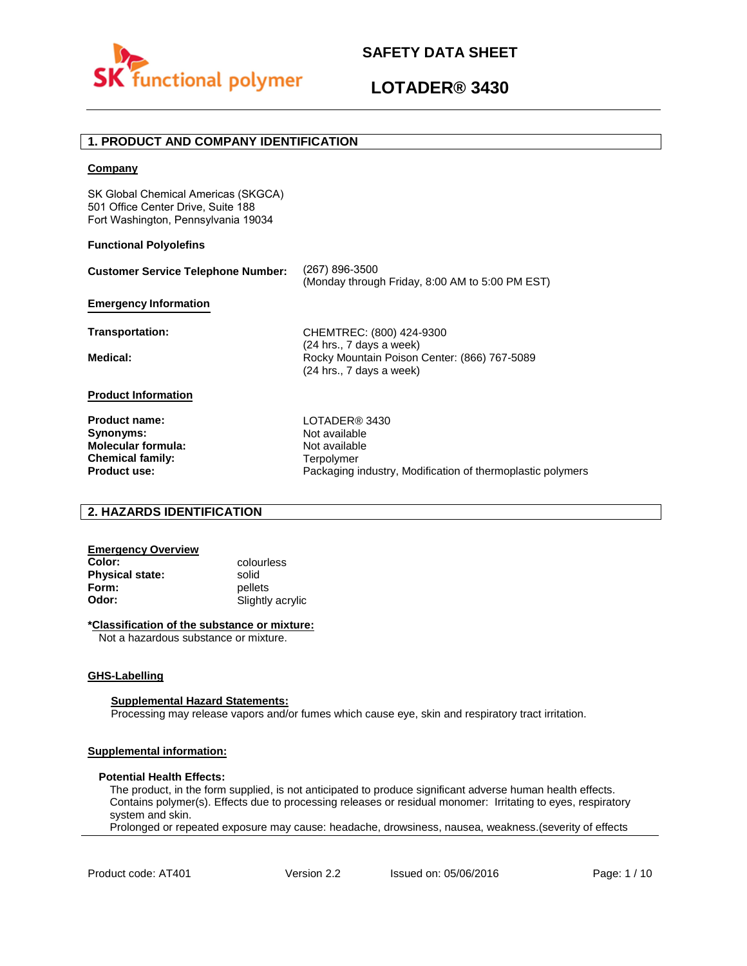



Packaging industry, Modification of thermoplastic polymers

### **1. PRODUCT AND COMPANY IDENTIFICATION**

#### **Company**

SK Global Chemical Americas (SKGCA) 501 Office Center Drive, Suite 188 Fort Washington, Pennsylvania 19034

#### **Functional Polyolefins**

| <b>Customer Service Telephone Number:</b> | (267) 896-3500<br>(Monday through Friday, 8:00 AM to 5:00 PM EST)                                    |  |
|-------------------------------------------|------------------------------------------------------------------------------------------------------|--|
| <b>Emergency Information</b>              |                                                                                                      |  |
| Transportation:                           | CHEMTREC: (800) 424-9300                                                                             |  |
| Medical:                                  | (24 hrs., 7 days a week)<br>Rocky Mountain Poison Center: (866) 767-5089<br>(24 hrs., 7 days a week) |  |
| <b>Product Information</b>                |                                                                                                      |  |
| <b>Product name:</b>                      | LOTADER® 3430                                                                                        |  |
| Synonyms:                                 | Not available                                                                                        |  |
| <b>Molecular formula:</b>                 | Not available                                                                                        |  |
| <b>Chemical family:</b>                   | Terpolymer                                                                                           |  |

### **2. HAZARDS IDENTIFICATION**

# **Emergency Overview**

**Physical state:** solid<br> **Form:** nellet **Form:** pellets<br> **Odor:** Slightly

**Product use:**

**Color:** colourless **Odor:** Slightly acrylic

#### **\*Classification of the substance or mixture:**

Not a hazardous substance or mixture.

#### **GHS-Labelling**

#### **Supplemental Hazard Statements:**

Processing may release vapors and/or fumes which cause eye, skin and respiratory tract irritation.

#### **Supplemental information:**

#### **Potential Health Effects:**

The product, in the form supplied, is not anticipated to produce significant adverse human health effects. Contains polymer(s). Effects due to processing releases or residual monomer: Irritating to eyes, respiratory system and skin.

Prolonged or repeated exposure may cause: headache, drowsiness, nausea, weakness.(severity of effects

Product code: AT401 Version 2.2 Issued on: 05/06/2016 Page: 1/10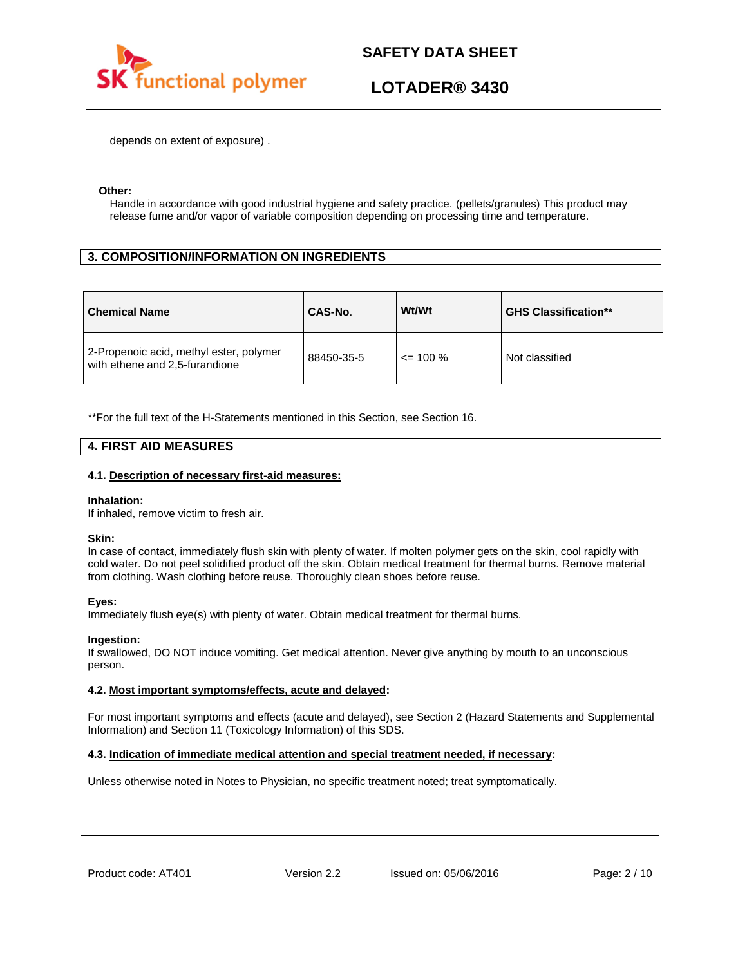

depends on extent of exposure) .

#### **Other:**

Handle in accordance with good industrial hygiene and safety practice. (pellets/granules) This product may release fume and/or vapor of variable composition depending on processing time and temperature.

# **3. COMPOSITION/INFORMATION ON INGREDIENTS**

| <b>Chemical Name</b>                                                      | CAS-No.    | Wt/Wt        | <b>GHS Classification**</b> |
|---------------------------------------------------------------------------|------------|--------------|-----------------------------|
| 2-Propenoic acid, methyl ester, polymer<br>with ethene and 2,5-furandione | 88450-35-5 | $\leq$ 100 % | Not classified              |

\*\*For the full text of the H-Statements mentioned in this Section, see Section 16.

### **4. FIRST AID MEASURES**

#### **4.1. Description of necessary first-aid measures:**

#### **Inhalation:**

If inhaled, remove victim to fresh air.

#### **Skin:**

In case of contact, immediately flush skin with plenty of water. If molten polymer gets on the skin, cool rapidly with cold water. Do not peel solidified product off the skin. Obtain medical treatment for thermal burns. Remove material from clothing. Wash clothing before reuse. Thoroughly clean shoes before reuse.

#### **Eyes:**

Immediately flush eye(s) with plenty of water. Obtain medical treatment for thermal burns.

#### **Ingestion:**

If swallowed, DO NOT induce vomiting. Get medical attention. Never give anything by mouth to an unconscious person.

#### **4.2. Most important symptoms/effects, acute and delayed:**

For most important symptoms and effects (acute and delayed), see Section 2 (Hazard Statements and Supplemental Information) and Section 11 (Toxicology Information) of this SDS.

#### **4.3. Indication of immediate medical attention and special treatment needed, if necessary:**

Unless otherwise noted in Notes to Physician, no specific treatment noted; treat symptomatically.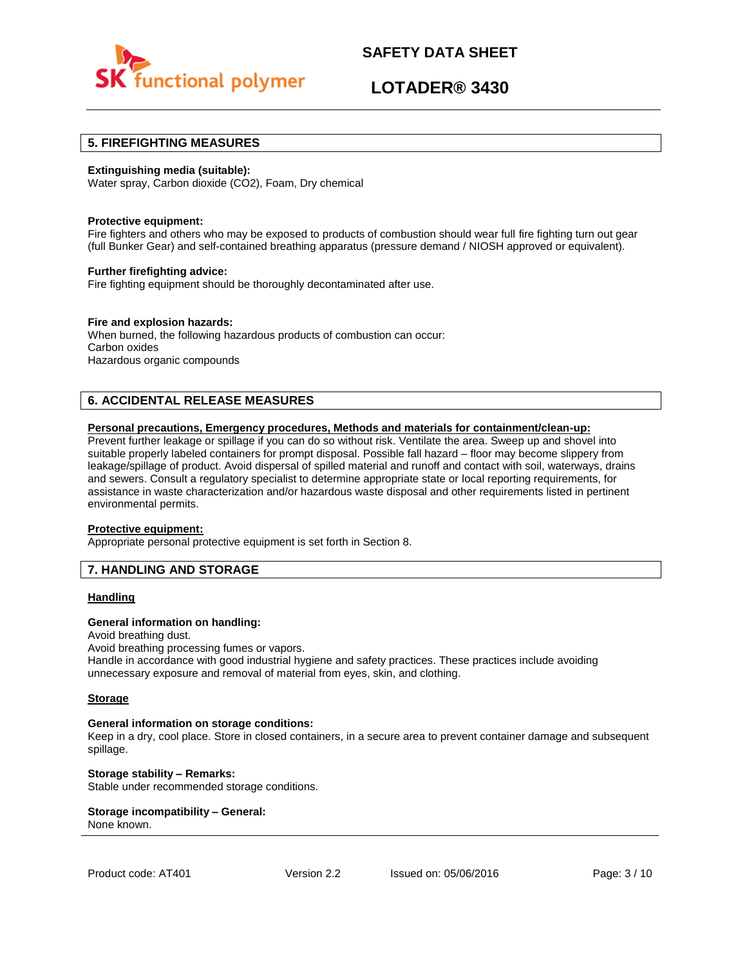

# **LOTADER® 3430**

### **5. FIREFIGHTING MEASURES**

#### **Extinguishing media (suitable):**

Water spray, Carbon dioxide (CO2), Foam, Dry chemical

#### **Protective equipment:**

Fire fighters and others who may be exposed to products of combustion should wear full fire fighting turn out gear (full Bunker Gear) and self-contained breathing apparatus (pressure demand / NIOSH approved or equivalent).

#### **Further firefighting advice:**

Fire fighting equipment should be thoroughly decontaminated after use.

#### **Fire and explosion hazards:**

When burned, the following hazardous products of combustion can occur: Carbon oxides Hazardous organic compounds

# **6. ACCIDENTAL RELEASE MEASURES**

#### **Personal precautions, Emergency procedures, Methods and materials for containment/clean-up:**

Prevent further leakage or spillage if you can do so without risk. Ventilate the area. Sweep up and shovel into suitable properly labeled containers for prompt disposal. Possible fall hazard – floor may become slippery from leakage/spillage of product. Avoid dispersal of spilled material and runoff and contact with soil, waterways, drains and sewers. Consult a regulatory specialist to determine appropriate state or local reporting requirements, for assistance in waste characterization and/or hazardous waste disposal and other requirements listed in pertinent environmental permits.

#### **Protective equipment:**

Appropriate personal protective equipment is set forth in Section 8.

### **7. HANDLING AND STORAGE**

#### **Handling**

#### **General information on handling:**

Avoid breathing dust.

Avoid breathing processing fumes or vapors.

Handle in accordance with good industrial hygiene and safety practices. These practices include avoiding unnecessary exposure and removal of material from eyes, skin, and clothing.

#### **Storage**

#### **General information on storage conditions:**

Keep in a dry, cool place. Store in closed containers, in a secure area to prevent container damage and subsequent spillage.

**Storage stability – Remarks:**  Stable under recommended storage conditions.

#### **Storage incompatibility – General:**  None known.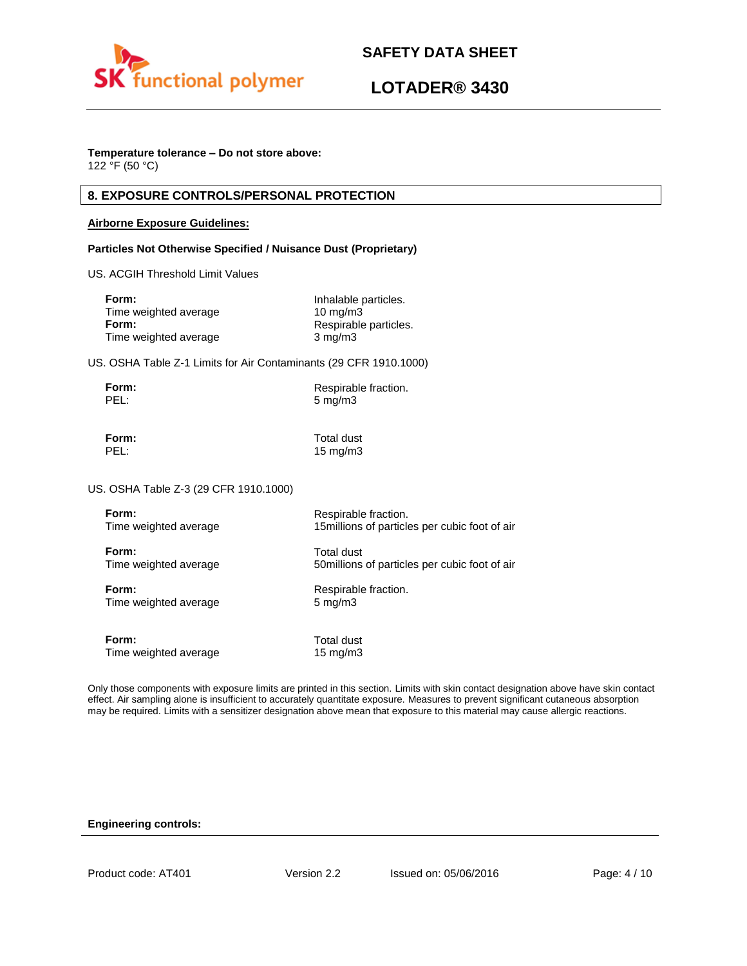



### **Temperature tolerance – Do not store above:**

122 °F (50 °C)

# **8. EXPOSURE CONTROLS/PERSONAL PROTECTION**

#### **Airborne Exposure Guidelines:**

#### **Particles Not Otherwise Specified / Nuisance Dust (Proprietary)**

US. ACGIH Threshold Limit Values

| Form:                 | Inhalable particles.  |
|-----------------------|-----------------------|
| Time weighted average | $10 \text{ mg/m}$     |
| Form:                 | Respirable particles. |
| Time weighted average | $3 \text{ mg/m}$      |

US. OSHA Table Z-1 Limits for Air Contaminants (29 CFR 1910.1000)

| Form: | Respirable fraction. |
|-------|----------------------|
| PEL:  | $5 \text{ mg/m}$     |

**Form:** Total dust PEL: 15 mg/m3

US. OSHA Table Z-3 (29 CFR 1910.1000)

| Form:                 | Respirable fraction.                           |
|-----------------------|------------------------------------------------|
| Time weighted average | 15 millions of particles per cubic foot of air |
| Form:                 | Total dust                                     |
| Time weighted average | 50 millions of particles per cubic foot of air |
| Form:                 | Respirable fraction.                           |
| Time weighted average | $5 \text{ mg/m}$                               |
| Form:                 | Total dust                                     |
| Time weighted average | 15 mg/m $3$                                    |

Only those components with exposure limits are printed in this section. Limits with skin contact designation above have skin contact effect. Air sampling alone is insufficient to accurately quantitate exposure. Measures to prevent significant cutaneous absorption may be required. Limits with a sensitizer designation above mean that exposure to this material may cause allergic reactions.

#### **Engineering controls:**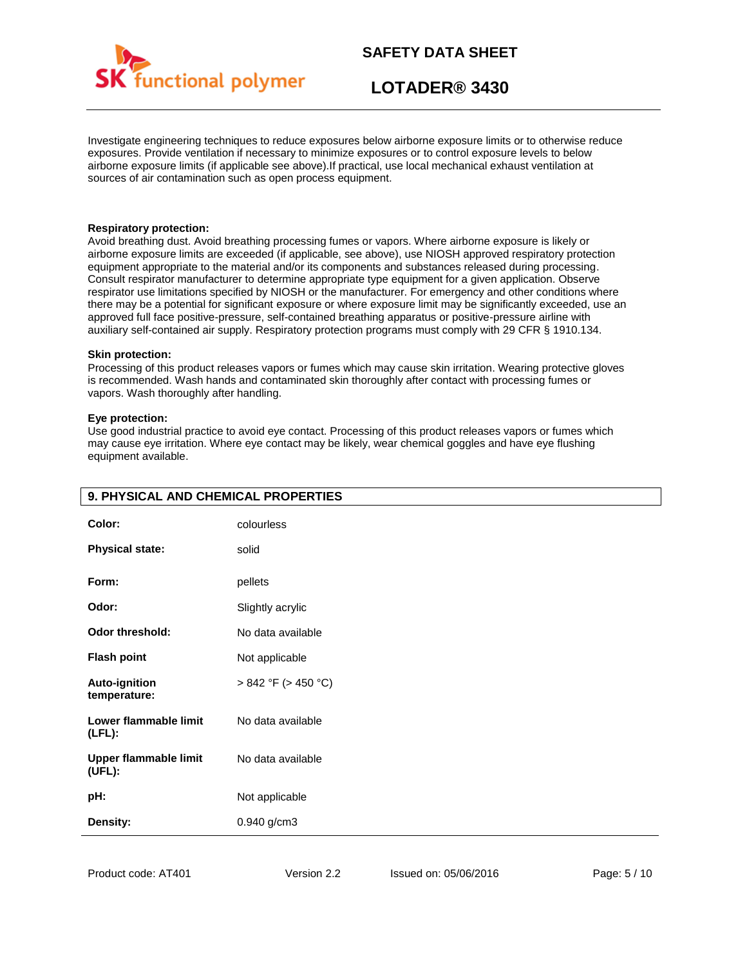

# **LOTADER® 3430**

Investigate engineering techniques to reduce exposures below airborne exposure limits or to otherwise reduce exposures. Provide ventilation if necessary to minimize exposures or to control exposure levels to below airborne exposure limits (if applicable see above).If practical, use local mechanical exhaust ventilation at sources of air contamination such as open process equipment.

#### **Respiratory protection:**

Avoid breathing dust. Avoid breathing processing fumes or vapors. Where airborne exposure is likely or airborne exposure limits are exceeded (if applicable, see above), use NIOSH approved respiratory protection equipment appropriate to the material and/or its components and substances released during processing. Consult respirator manufacturer to determine appropriate type equipment for a given application. Observe respirator use limitations specified by NIOSH or the manufacturer. For emergency and other conditions where there may be a potential for significant exposure or where exposure limit may be significantly exceeded, use an approved full face positive-pressure, self-contained breathing apparatus or positive-pressure airline with auxiliary self-contained air supply. Respiratory protection programs must comply with 29 CFR § 1910.134.

#### **Skin protection:**

Processing of this product releases vapors or fumes which may cause skin irritation. Wearing protective gloves is recommended. Wash hands and contaminated skin thoroughly after contact with processing fumes or vapors. Wash thoroughly after handling.

#### **Eye protection:**

Use good industrial practice to avoid eye contact. Processing of this product releases vapors or fumes which may cause eye irritation. Where eye contact may be likely, wear chemical goggles and have eye flushing equipment available.

| Color:                                 | colourless               |
|----------------------------------------|--------------------------|
| <b>Physical state:</b>                 | solid                    |
| Form:                                  | pellets                  |
| Odor:                                  | Slightly acrylic         |
| <b>Odor threshold:</b>                 | No data available        |
| <b>Flash point</b>                     | Not applicable           |
| Auto-ignition<br>temperature:          | $> 842$ °F ( $> 450$ °C) |
| Lower flammable limit<br>$(LFL)$ :     | No data available        |
| <b>Upper flammable limit</b><br>(UEL): | No data available        |
| pH:                                    | Not applicable           |
| Density:                               | 0.940 g/cm3              |

### **9. PHYSICAL AND CHEMICAL PROPERTIES**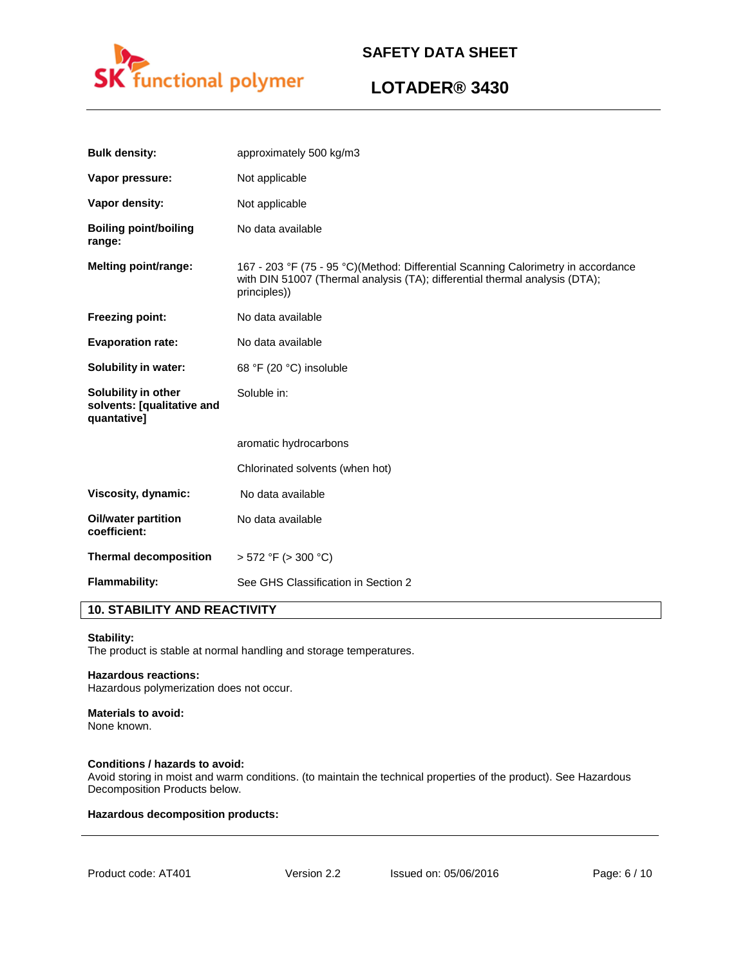

# **LOTADER® 3430**

| <b>Bulk density:</b>                                             | approximately 500 kg/m3                                                                                                                                                          |
|------------------------------------------------------------------|----------------------------------------------------------------------------------------------------------------------------------------------------------------------------------|
| Vapor pressure:                                                  | Not applicable                                                                                                                                                                   |
| Vapor density:                                                   | Not applicable                                                                                                                                                                   |
| <b>Boiling point/boiling</b><br>range:                           | No data available                                                                                                                                                                |
| <b>Melting point/range:</b>                                      | 167 - 203 °F (75 - 95 °C)(Method: Differential Scanning Calorimetry in accordance<br>with DIN 51007 (Thermal analysis (TA); differential thermal analysis (DTA);<br>principles)) |
| <b>Freezing point:</b>                                           | No data available                                                                                                                                                                |
| <b>Evaporation rate:</b>                                         | No data available                                                                                                                                                                |
| Solubility in water:                                             | 68 °F (20 °C) insoluble                                                                                                                                                          |
| Solubility in other<br>solvents: [qualitative and<br>quantative] | Soluble in:                                                                                                                                                                      |
|                                                                  | aromatic hydrocarbons                                                                                                                                                            |
|                                                                  | Chlorinated solvents (when hot)                                                                                                                                                  |
| Viscosity, dynamic:                                              | No data available                                                                                                                                                                |
| <b>Oil/water partition</b><br>coefficient:                       | No data available                                                                                                                                                                |
| <b>Thermal decomposition</b>                                     | $> 572$ °F ( $> 300$ °C)                                                                                                                                                         |
| <b>Flammability:</b>                                             | See GHS Classification in Section 2                                                                                                                                              |

# **10. STABILITY AND REACTIVITY**

#### **Stability:**

The product is stable at normal handling and storage temperatures.

#### **Hazardous reactions:**

Hazardous polymerization does not occur.

### **Materials to avoid:**

None known.

#### **Conditions / hazards to avoid:**

Avoid storing in moist and warm conditions. (to maintain the technical properties of the product). See Hazardous Decomposition Products below.

#### **Hazardous decomposition products:**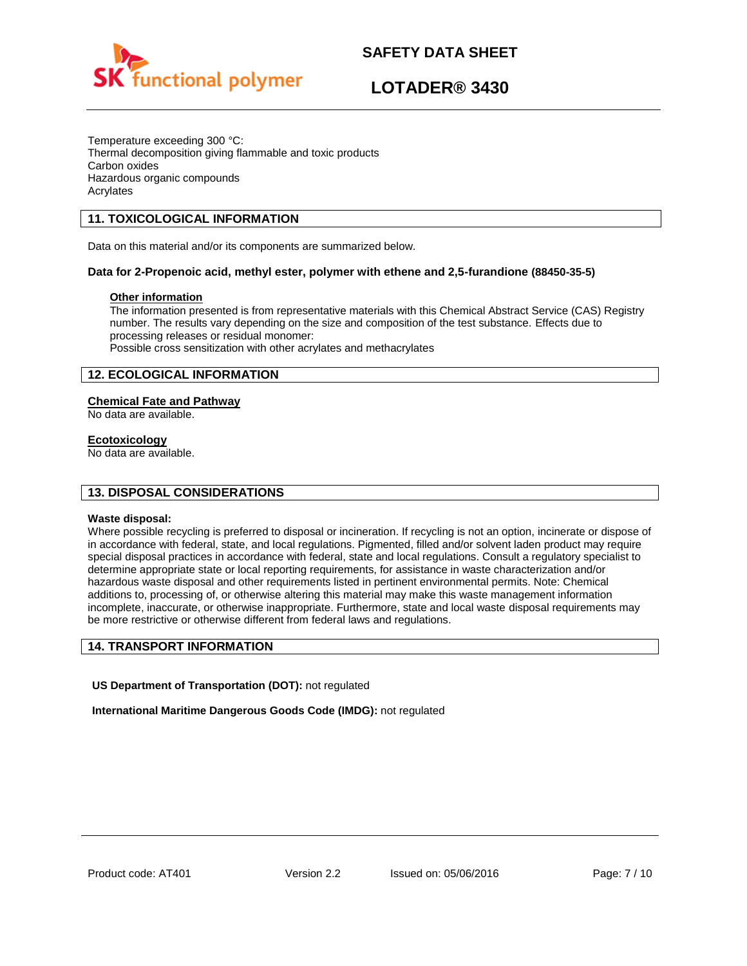

# **LOTADER® 3430**

Temperature exceeding 300 °C: Thermal decomposition giving flammable and toxic products Carbon oxides Hazardous organic compounds Acrylates

# **11. TOXICOLOGICAL INFORMATION**

Data on this material and/or its components are summarized below.

### **Data for 2-Propenoic acid, methyl ester, polymer with ethene and 2,5-furandione (88450-35-5)**

### **Other information**

The information presented is from representative materials with this Chemical Abstract Service (CAS) Registry number. The results vary depending on the size and composition of the test substance. Effects due to processing releases or residual monomer: Possible cross sensitization with other acrylates and methacrylates

# **12. ECOLOGICAL INFORMATION**

### **Chemical Fate and Pathway**

No data are available.

#### **Ecotoxicology**

No data are available.

### **13. DISPOSAL CONSIDERATIONS**

#### **Waste disposal:**

Where possible recycling is preferred to disposal or incineration. If recycling is not an option, incinerate or dispose of in accordance with federal, state, and local regulations. Pigmented, filled and/or solvent laden product may require special disposal practices in accordance with federal, state and local regulations. Consult a regulatory specialist to determine appropriate state or local reporting requirements, for assistance in waste characterization and/or hazardous waste disposal and other requirements listed in pertinent environmental permits. Note: Chemical additions to, processing of, or otherwise altering this material may make this waste management information incomplete, inaccurate, or otherwise inappropriate. Furthermore, state and local waste disposal requirements may be more restrictive or otherwise different from federal laws and regulations.

#### **14. TRANSPORT INFORMATION**

**US Department of Transportation (DOT):** not regulated

**International Maritime Dangerous Goods Code (IMDG):** not regulated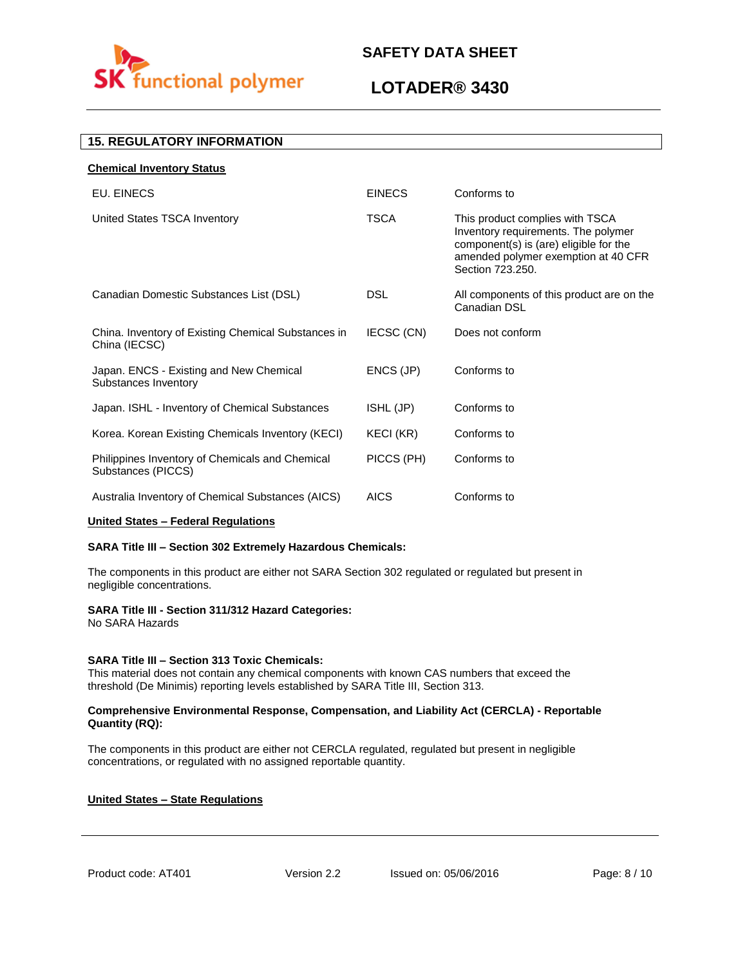

# **LOTADER® 3430**

# **15. REGULATORY INFORMATION**

| <b>Chemical Inventory Status</b>                                      |               |                                                                                                                                                                             |
|-----------------------------------------------------------------------|---------------|-----------------------------------------------------------------------------------------------------------------------------------------------------------------------------|
| EU. EINECS                                                            | <b>EINECS</b> | Conforms to                                                                                                                                                                 |
| United States TSCA Inventory                                          | <b>TSCA</b>   | This product complies with TSCA<br>Inventory requirements. The polymer<br>component(s) is (are) eligible for the<br>amended polymer exemption at 40 CFR<br>Section 723.250. |
| Canadian Domestic Substances List (DSL)                               | <b>DSL</b>    | All components of this product are on the<br>Canadian DSL                                                                                                                   |
| China. Inventory of Existing Chemical Substances in<br>China (IECSC)  | IECSC (CN)    | Does not conform                                                                                                                                                            |
| Japan. ENCS - Existing and New Chemical<br>Substances Inventory       | ENCS (JP)     | Conforms to                                                                                                                                                                 |
| Japan. ISHL - Inventory of Chemical Substances                        | ISHL (JP)     | Conforms to                                                                                                                                                                 |
| Korea. Korean Existing Chemicals Inventory (KECI)                     | KECI (KR)     | Conforms to                                                                                                                                                                 |
| Philippines Inventory of Chemicals and Chemical<br>Substances (PICCS) | PICCS (PH)    | Conforms to                                                                                                                                                                 |
| Australia Inventory of Chemical Substances (AICS)                     | <b>AICS</b>   | Conforms to                                                                                                                                                                 |

#### **United States – Federal Regulations**

#### **SARA Title III – Section 302 Extremely Hazardous Chemicals:**

The components in this product are either not SARA Section 302 regulated or regulated but present in negligible concentrations.

#### **SARA Title III - Section 311/312 Hazard Categories:**

No SARA Hazards

#### **SARA Title III – Section 313 Toxic Chemicals:**

This material does not contain any chemical components with known CAS numbers that exceed the threshold (De Minimis) reporting levels established by SARA Title III, Section 313.

#### **Comprehensive Environmental Response, Compensation, and Liability Act (CERCLA) - Reportable Quantity (RQ):**

The components in this product are either not CERCLA regulated, regulated but present in negligible concentrations, or regulated with no assigned reportable quantity.

#### **United States – State Regulations**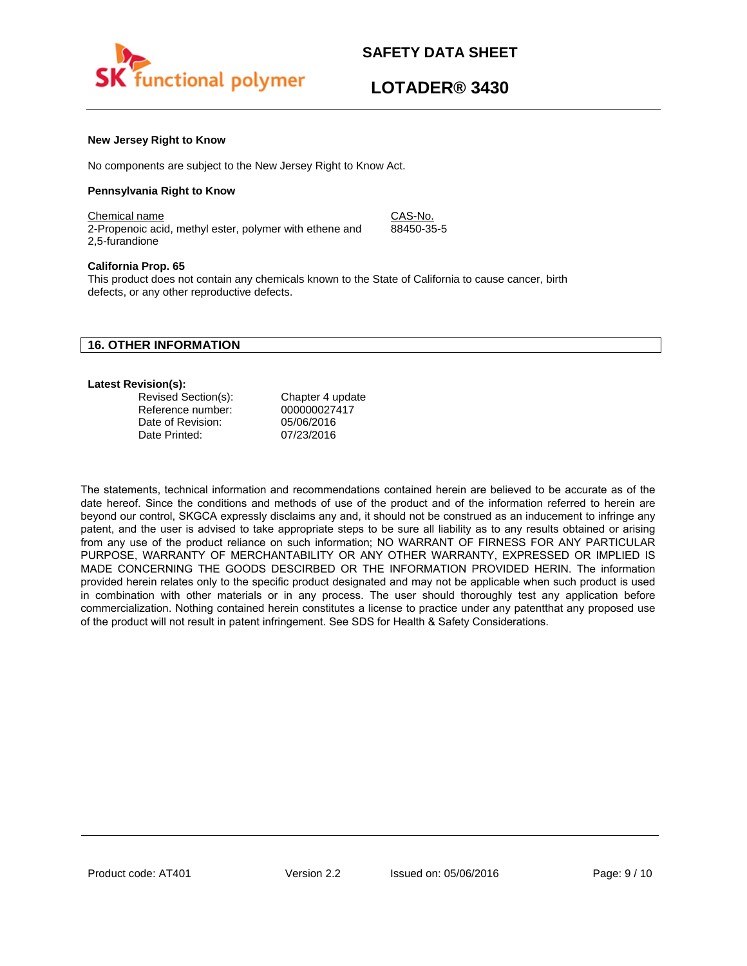

88450-35-5

#### **New Jersey Right to Know**

No components are subject to the New Jersey Right to Know Act.

#### **Pennsylvania Right to Know**

Chemical name CAS-No. 2-Propenoic acid, methyl ester, polymer with ethene and 2,5-furandione

#### **California Prop. 65**

This product does not contain any chemicals known to the State of California to cause cancer, birth defects, or any other reproductive defects.

### **16. OTHER INFORMATION**

#### **Latest Revision(s):**

| Revised Section(s): | Chapter 4 update |
|---------------------|------------------|
| Reference number:   | 000000027417     |
| Date of Revision:   | 05/06/2016       |
| Date Printed:       | 07/23/2016       |

The statements, technical information and recommendations contained herein are believed to be accurate as of the date hereof. Since the conditions and methods of use of the product and of the information referred to herein are beyond our control, SKGCA expressly disclaims any and, it should not be construed as an inducement to infringe any patent, and the user is advised to take appropriate steps to be sure all liability as to any results obtained or arising from any use of the product reliance on such information; NO WARRANT OF FIRNESS FOR ANY PARTICULAR PURPOSE, WARRANTY OF MERCHANTABILITY OR ANY OTHER WARRANTY, EXPRESSED OR IMPLIED IS MADE CONCERNING THE GOODS DESCIRBED OR THE INFORMATION PROVIDED HERIN. The information provided herein relates only to the specific product designated and may not be applicable when such product is used in combination with other materials or in any process. The user should thoroughly test any application before commercialization. Nothing contained herein constitutes a license to practice under any patentthat any proposed use of the product will not result in patent infringement. See SDS for Health & Safety Considerations.